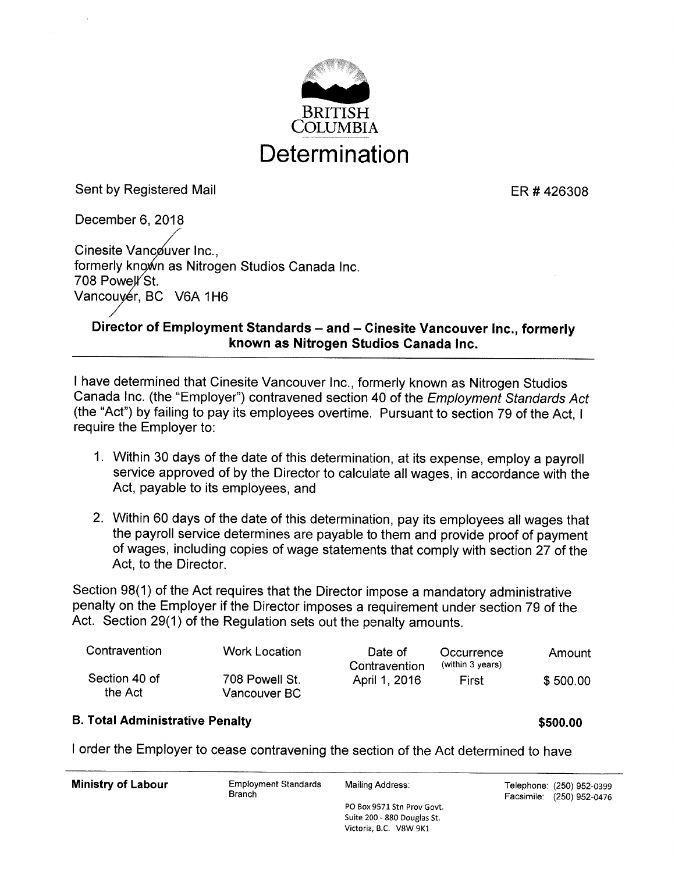

Sent by Registered Mail **ER # 426308** 

December 6, 2018 Cinesite Vancouver Inc., formerly known as Nitrogen Studios Canada Inc. 708 Powell St. Vancouyér, BC V6A 1H6

## Director of Employment Standards - and - Cinesite Vancouver Inc., formerly known as Nitrogen Studios Ganada Inc.

<sup>I</sup>have determined that Cinesite Vancouver lnc., formerly known as Nitrogen Studios Canada Inc. (the "Employer") contravened section 40 of the Employment Standards Act (the "Act") by failing to pay its employees overtime. Pursuant to section 79 of the Act, <sup>I</sup> require the Employer to:

- 1. Within 30 days of the date of this determination, at its expense, employ a payroll service approved of by the Director to calculate all wages, in accordance with the Act, payable to its employees, and
- 2. Within 60 days of the date of this determination, pay its employees all wages that the payroll service determines are payable to them and provide proof of payment of wages, including copies of wage statements that comply with section 27 of the Act, to the Director.

Section 98(1) of the Act requires that the Director impose a mandatory administrative penalty on the Employer if the Director imposes a requirement under section 79 of the Act. Section 29(1) of the Regulation sets out the penalty amounts.

| Contravention            | Work Location                  | Date of<br>Contravention | Occurrence<br>(within 3 years) | Amount   |
|--------------------------|--------------------------------|--------------------------|--------------------------------|----------|
| Section 40 of<br>the Act | 708 Powell St.<br>Vancouver BC | April 1, 2016            | First                          | \$500.00 |

#### B. Total Administrative Penalty **\$500.00** \$500.00

<sup>I</sup>order the Employer to cease contravening the section of the Act determined to have

| <b>Ministry of Labour</b> | <b>Employment Standards</b><br><b>Branch</b> | Mailing Address:            | Telephone: (250) 952-0399<br>Facsimile: (250) 952-0476 |
|---------------------------|----------------------------------------------|-----------------------------|--------------------------------------------------------|
|                           |                                              | PO Box 9571 Stn Prov Govt.  |                                                        |
|                           |                                              | Suite 200 - 880 Douglas St. |                                                        |

Victoria, B.C. V8W 9K1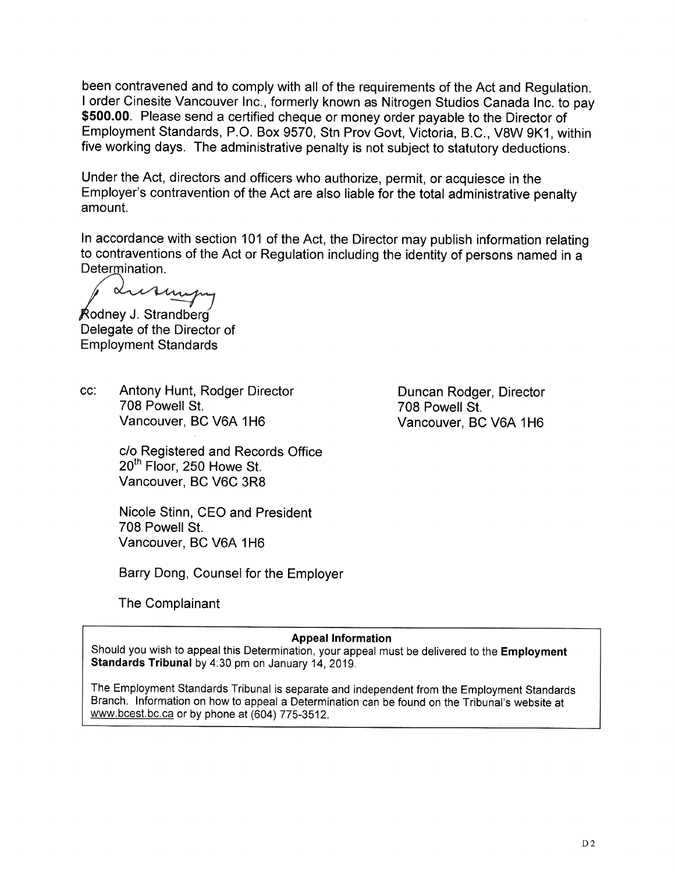been contravened and to comply with all of the requirements of the Act and Regulation. <sup>I</sup>order Cinesite Vancouver lnc., formerly known as Nitrogen Studios Canada Inc. to pay \$500.00. Please send a certified cheque or money order payable to the Director of Employment Standards, P.O. Box 9570, Stn Prov Govt, Victoria, 8.C., V8W gK1, within five working days. The administrative penalty is not subject to statutory deductions.

Under the Act, directors and officers who authorize, permit, or acquiesce in the Employer's contravention of the Act are also liable for the total administrative penalty amount.

In accordance with section 101 of the Act, the Director may publish information relating to contraventions of the Act or Regulation including the identity of persons named in a Determination.

Lurin

Rodney J. Strandberg Delegate of the Director of Employment Standards

cc: Antony Hunt, Rodger Director 708 Powell St. Vancouver, BC V6A 1H6

> c/o Registered and Records Office 20<sup>th</sup> Floor, 250 Howe St. Vancouver, BC V6C 3RB

Nicole Stinn, CEO and President 708 Powell St. Vancouver, BC V6A 1H6

Barry Dong, Counsel for the Employer

The Complainant

#### Appeal lnformation

Should you wish to appeal this Determination, your appeal must be delivered to the Employment Standards Tribunal by 4:30 pm on January 14, 2019.

The Employment Standards Tribunal is separate and independent from the Employment Standards Branch. lnformation on how to appeal a Determination can be found on the Tribunal's website at www.bcest.bc.ca or by phone at (604) 775-3512.

Duncan Rodger, Director 708 Powell St. Vancouver, BC V6A 1H6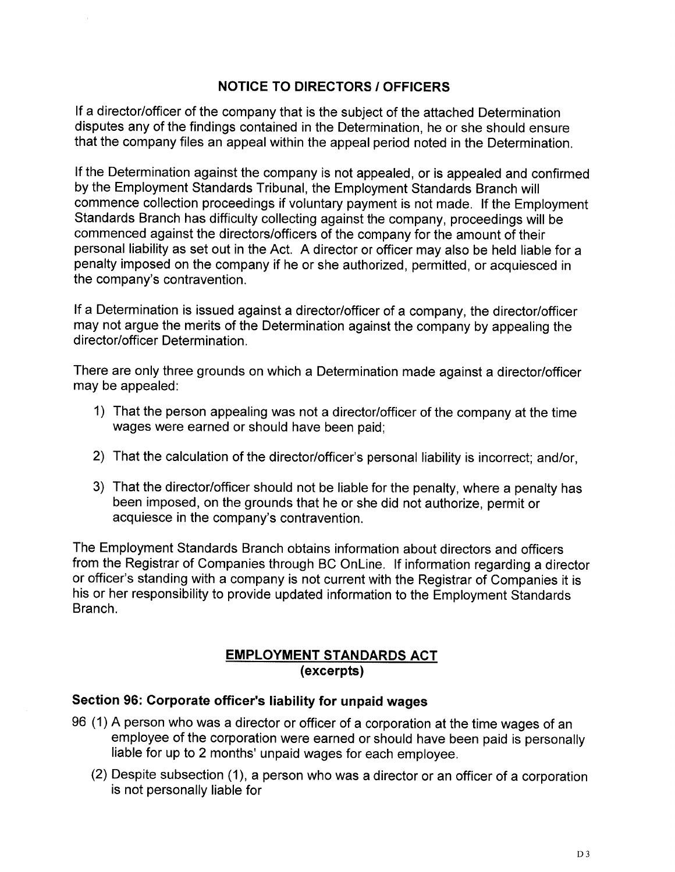## NOTICE TO DIRECTORS / OFFICERS

lf a director/officer of the company that is the subject of the attached Determination disputes any of the findings contained in the Determination, he or she should ensure that the company files an appeal within the appeal period noted in the Determination

lf the Determination against the company is not appealed, or is appealed and confirmed by the Employment Standards Tribunal, the Employment Standards Branch will commence collection proceedings if voluntary payment is not made. lf the Employment Standards Branch has difficulty collecting against the company, proceedings will be commenced against the directors/officers of the company for the amount of their personal liability as set out in the Act. A director or officer may also be held liable for a penalty imposed on the company if he or she authorized, permitted, or acquiesced in the company's contravention.

lf a Determination is issued against a director/officer of a company, the director/officer may not argue the merits of the Determination against the company by appealing the director/officer Determination.

There are only three grounds on which a Determination made against a director/officer may be appealed:

- 1) That the person appealing was not a director/officer of the company at the time wages were earned or should have been paid;
- 2) That the calculation of the director/officer's personal liability is incorrect; and/or,
- 3) That the director/officer should not be liable for the penalty, where a penalty has been imposed, on the grounds that he or she did not authorize, permit or acquiesce in the company's contravention.

The Employment Standards Branch obtains information about directors and officers from the Registrar of Companies through BC Online. lf information regarding a director or officer's standing with a company is not current with the Registrar of Companies it is his or her responsibility to provide updated information to the Employment Standards Branch.

#### **EMPLOYMENT STANDARDS ACT** (excerpts)

#### Section 96: Corporate officer's liability for unpaid wages

- <sup>96</sup>(1) A person who was a director or officer of a corporation at the time wages of an employee of the corporation were earned or should have been paid is personally liable for up to 2 months' unpaid wages for each employee.
	- (2) Despite subsection (1), a person who was a director or an officer of a corporation is not personally liable for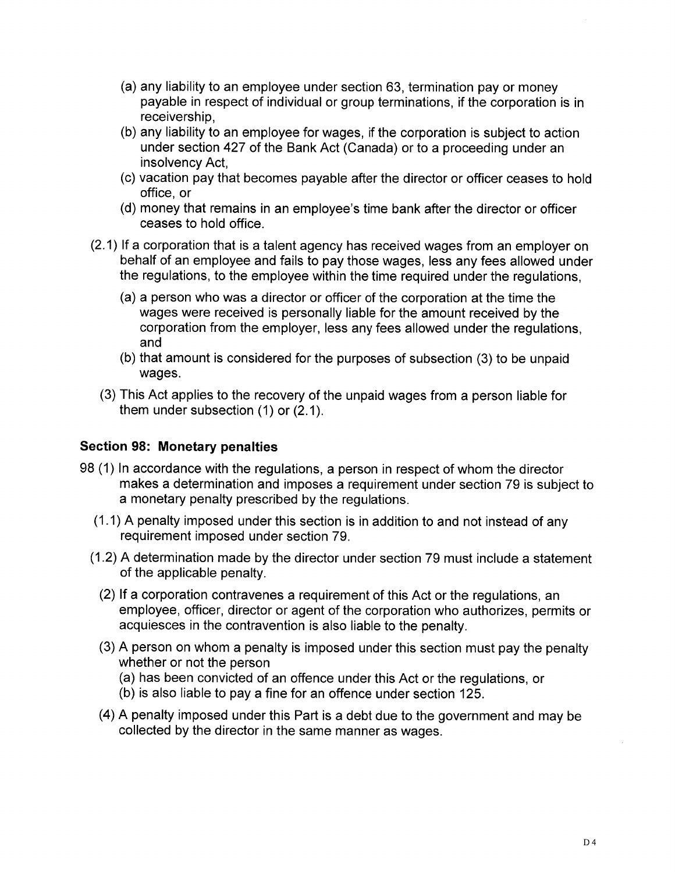- (a) any liability to an employee under section 63, termination pay or money payable in respect of individual or group terminations, if the corporation is in receivership,
- (b) any liability to an employee for wages, if the corporation is subject to action under section 427 of the Bank Act (Canada) or to a proceeding under an insolvency Act,
- (c) vacation pay that becomes payable after the director or officer ceases to hold office, or
- (d) money that remains ín an employee's time bank after the director or officer ceases to hold office.
- (2.1) If a corporation that is a talent agency has received wages from an employer on behalf of an employee and fails to pay those wages, less any fees allowed under the regulations, to the employee within the time required under the regulations,
	- (a) a person who was a director or officer of the corporation at the time the wages were received is personally liable for the amount received by the corporation from the employer, less any fees allowed under the regulations, and
	- (b) that amount is considered for the purposes of subsection (3) to be unpaid wages.
	- (3) This Act applies to the recovery of the unpaid wages from a person liable for them under subsection (1) or (2.1).

## Section 98: Monetary penalties

- <sup>98</sup>(1) In accordance with the regulations, a person in respect of whom the director makes a determination and imposes a requirement under section 79 is subject to a monetary penalty prescribed by the regulations.
	- (1.1) A penalty imposed under this section is in addition to and not instead of any requirement imposed under section 79.
	- (1.2) A determination made by the director under section 79 must include a statement of the applicable penalty.
		- Q) ft a corporation contravenes a requirement of this Act or the regulations, an employee, officer, director or agent of the corporation who authorizes, permits or acquiesces in the contravention is also liable to the penalty.
		- (3) A person on whom a penalty is imposed under this section must pay the penalty whether or not the person
			- (a) has been convicted of an offence under this Act or the regulations, or
			- (b) is also liable to pay a fine for an offence under section 125.
		- (4) A penalty imposed under this Part is a debt due to the government and may be collected by the director in the same manner as wages.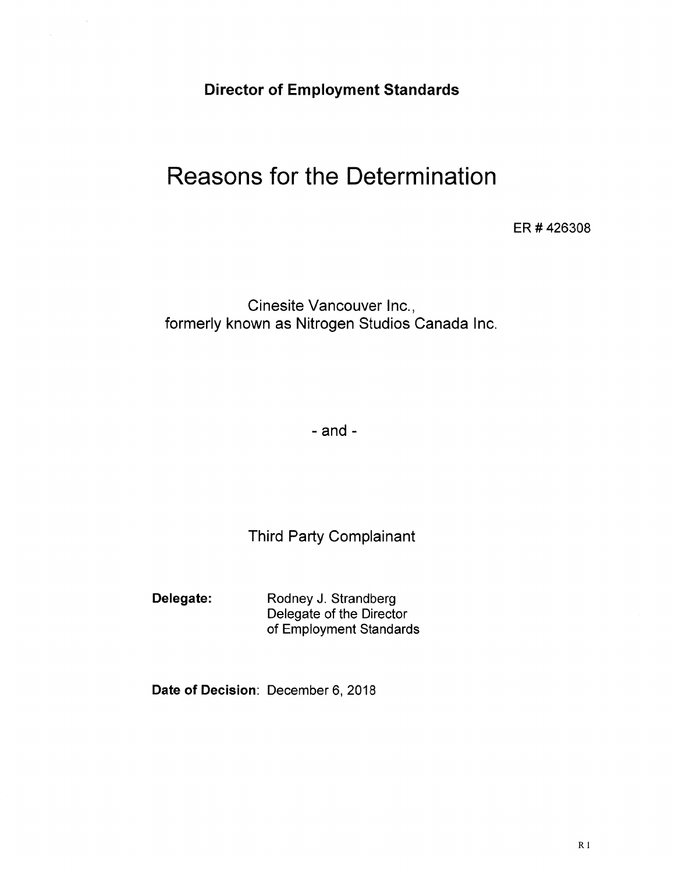Director of Employment Standards

# Reasons for the Determination

ER # 426308

Cinesite Vancouver lnc., formerly known as Nitrogen Studios Canada lnc

 $-$ and  $-$ 

Third Party Complainant

Delegate: Rodney J. Strandberg

Delegate of the Director of Employment Standards

Date of Decision: December 6, 2018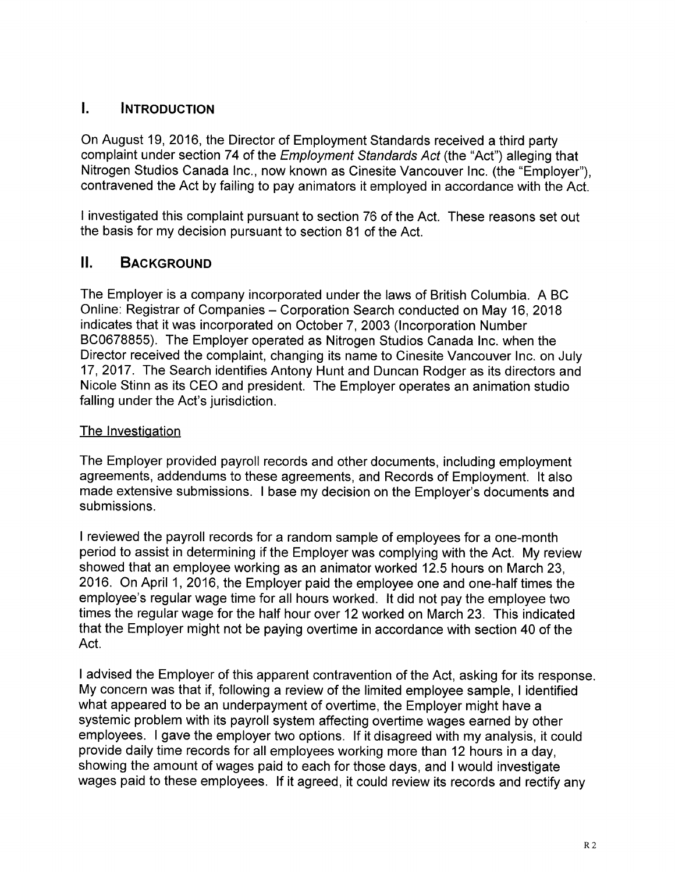# **l. INTRODUCTION**

On August 19,2016, the Director of Employment Standards received a third party complaint under section 74 of the *Employment Standards Act* (the "Act") alleging that Nitrogen Studios Canada Inc., now known as Cinesite Vancouver Inc. (the "Employer"), contravened the Act by failing to pay animators it employed in accordance with the Act.

I investigated this complaint pursuant to section 76 of the Act. These reasons set out the basis for my decision pursuant to section 81 of the Act.

# II. BACKGROUND

The Employer is a company incorporated under the laws of British Columbia. A BC Online: Registrar of Companies - Corporation Search conducted on May 16, 2018 indicates that it was incorporated on October <sup>7</sup>, 2003 (lncorporation Number 8C0678855). The Employer operated as Nitrogen Studios Canada lnc. when the Director received the complaint, changing its name to Cinesite Vancouver lnc. on July 17,2017. The Search identifies Antony Hunt and Duncan Rodger as its directors and Nicole Stinn as its CEO and president. The Employer operates an animation studio falling under the Act's jurisdiction.

## The Investiqation

The Employer provided payroll records and other documents, including employment agreements, addendums to these agreements, and Records of Employment. lt also made extensive submissions. I base my decision on the Employer's documents and submissions.

<sup>I</sup>reviewed the payroll records for a random sample of employees for a one-month period to assist in determining if the Employer was complying with the Act. My review showed that an employee working as an animator worked 12.5 hours on March 23, 2016. On April 1,2016, the Employer paid the employee one and one-half times the employee's regular wage time for all hours worked. lt did not pay the employee two times the regular wage for the half hour over 12 worked on March 23. This indicated that the Employer might not be paying overtime in accordance with section 40 of the Act.

I advised the Employer of this apparent contravention of the Act, asking for its response. My concern was that if, following a review of the limited employee sample, I identified what appeared to be an underpayment of overtime, the Employer might have a systemic problem with its payroll system affecting overtime wages earned by other employees. <sup>I</sup>gave the employer two options. lf it disagreed with my analysis, it could provide daily time records for all employees working more than 12 hours in a day, showing the amount of wages paid to each for those days, and I would investigate wages paid to these employees. lf it agreed, it could review its records and rectify any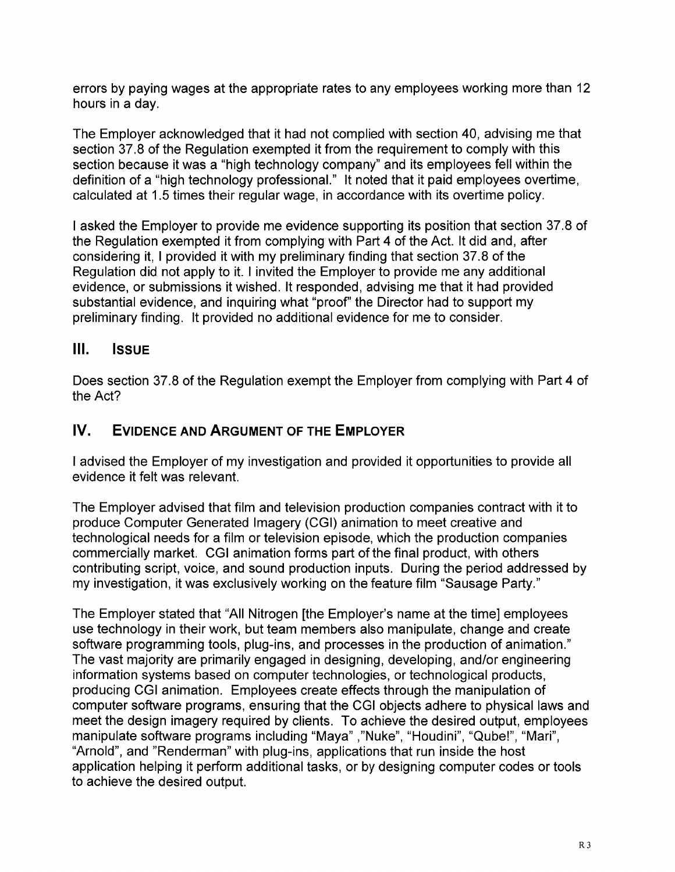errors by paying wages at the appropriate rates to any employees working more than <sup>12</sup> hours in a day.

The Employer acknowledged that it had not complied with section 40, advising me that section 37.8 of the Regulation exempted it from the requirement to comply with this section because it was a "high technology company" and its employees fell within the definition of a "high technology professional." lt noted that it paid employees overtime, calculated at 1.5 times their regular wage, in accordance with its overtime policy.

<sup>I</sup>asked the Employer to provide me evidence supporting its position that section 37.8 of the Regulation exempted it from complying with Part 4 of the Act. It did and, after considering it, I provided it with my preliminary finding that section 37.8 of the Regulation did not apply to it. I invited the Employer to provide me any additional evidence, or submissions it wished. lt responded, advising me that it had provided substantial evidence, and inquiring what "proof" the Director had to support my preliminary finding. lt provided no additional evidence for me to consider.

# lll. lssue

Does section 37.8 of the Regulation exempt the Employer from complying with Part 4 of the Act?

# IV. EVIDENCE AND ARGUMENT OF THE EMPLOYER

<sup>I</sup>advised the Employer of my investigation and provided it opportunities to provide all evidence it felt was relevant.

The Employer advised that film and television production companies contract with it to produce Computer Generated lmagery (CGl) animation to meet creative and technological needs for a film or television episode, which the production companies commercially market. CGI animation forms part of the final product, with others contributing script, voice, and sound production inputs. During the period addressed by my investigation, it was exclusively working on the feature film "Sausage Party."

The Employer stated that "All Nitrogen [the Employer's name at the time] employees use technology in their work, but team members also manipulate, change and create software programming tools, plug-ins, and processes in the production of animation." The vast majority are primarily engaged in designing, developing, and/or engineering information systems based on computer technologies, or technological products, producing CGI animation. Employees create effects through the manipulation of computer software programs, ensuring that the CGI objects adhere to physical laws and meet the design imagery required by clients. To achieve the desired output, employees manipulate software programs including "Maya" ,"Nuke", "Houdini", "Qube!", "Mari", "Arnold", and "Renderman" with plug-ins, applications that run inside the host application helping it perform additional tasks, or by designing computer codes or tools to achieve the desired output.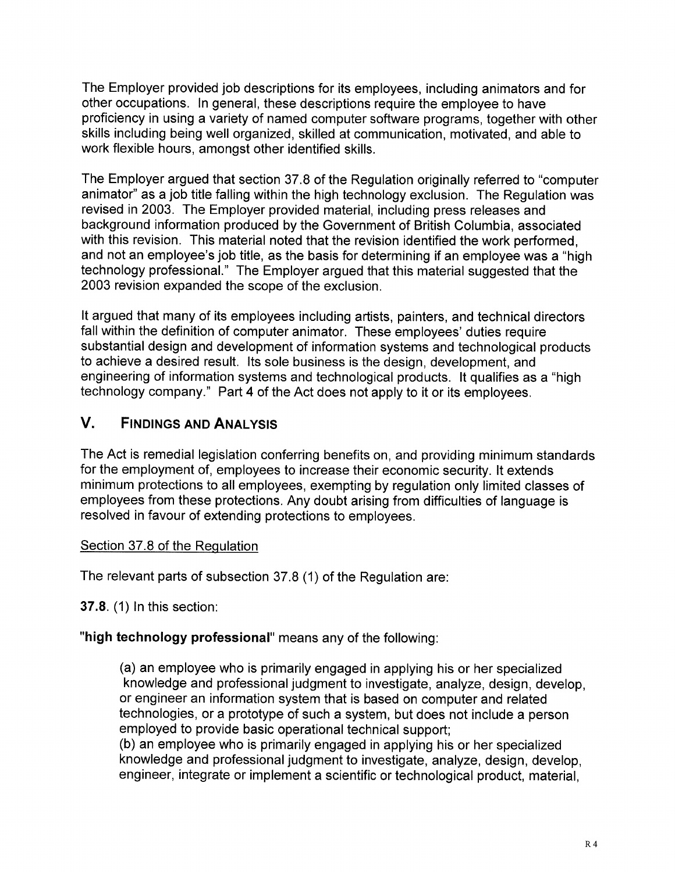The Employer provided job descriptions for its employees, including animators and for other occupations. In general, these descriptions require the employee to have proficiency in using a variety of named computer software programs, together with other skills including being well organized, skilled at communication, motivated, and able to work flexible hours, amongst other identified skills.

The Employer argued that section 37.8 of the Regulation originally referred to "computer animator" as a job title falling within the high technology exclusion. The Regulation was revised in 2003. The Employer provided material, including press releases and background information produced by the Government of British Columbia, associated with this revision. This material noted that the revision identified the work performed, and not an employee's job title, as the basis for determining if an employee was a "high technology professional." The Employer argued that this material suggested that the 2003 revision expanded the scope of the exclusion.

It argued that many of its employees including artists, painters, and technical directors fall within the definition of computer animator. These employees' duties require substantial design and development of information systems and technological products to achieve a desired result. lts sole business is the design, development, and engineering of information systems and technological products. lt qualifies as a "high technology company." Part 4 of the Act does not apply to it or its employees.

# V. FINDINGS AND ANALYSIS

The Act is remedial legislation conferring benefits on, and providing minimum standards for the employment of, employees to increase their economic security. lt extends minimum protections to all employees, exempting by regulation only limited classes of employees from these protections. Any doubt arising from difficulties of language is resolved in favour of extending protections to employees.

## Section 37.8 of the Requlation

The relevant parts of subsection 37.8 (1) of the Regulation are

**37.8. (1) In this section:** 

# "high technology professional" means any of the following:

(a) an employee who is primarily engaged in applying his or her specialized knowledge and professional judgment to investigate, analyze, design, develop, or engineer an information system that is based on computer and related technologies, or a prototype of such a system, but does not include a person employed to provide basic operational technical support; (b) an employee who is primarily engaged in applying his or her specialized knowledge and professional judgment to investigate, analyze, design, develop, engineer, integrate or implement a scientific or technological product, material,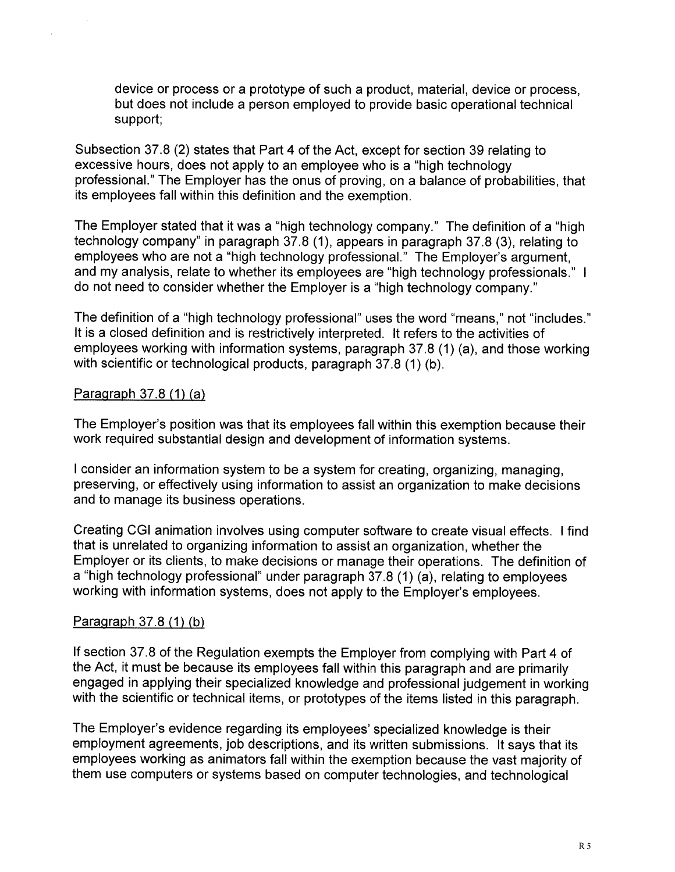device or process or a prototype of such a product, material, device or process, but does not include a person employed to provide basic operational technical support;

Subsection 37.8 (2) states that Part 4 of the Act, except for section 39 relating to excessive hours, does not apply to an employee who is a "high technology professional." The Employer has the onus of proving, on a balance of probabilities, that its employees fall within this definition and the exemption.

The Employer stated that it was a "high technology company." The definition of a "high technology company" in paragraph 37.8 (1), appears in paragraph 37.8 (3), relating to employees who are not a "high technology professional." The Employer's argument, and my analysis, relate to whether its employees are "high technology professionals." <sup>I</sup> do not need to consider whether the Employer is a "high technology company."

The definition of a "high technology professional" uses the word "means," not "includes." It is a closed definition and is restrictively interpreted. lt refers to the activities of employees working with information systems, paragraph 37.8 (1) (a), and those working with scientific or technological products, paragraph 37.8 (1) (b).

#### Paragraph  $37.8(1)(a)$

The Employer's position was that its employees fall within this exemption because their work required substantial design and development of information systems.

<sup>I</sup>consider an information system to be a system for creating, organizing, managing, preserving, or effectively using information to assist an organization to make decisions and to manage its business operations.

Creating CGI animation involves using computer software to create visual effects. I find that is unrelated to organizing information to assist an organization, whether the Employer or its clients, to make decisions or manage their operations. The definition of <sup>a</sup>"high technology professional" under paragraph 37.8 (1) (a), relating to employees working with information systems, does not apply to the Employer's employees.

#### Paragraph 37.8 (1) (b)

lf section 37.8 of the Regulation exempts the Employer from complying with Part 4 of the Act, it must be because its employees fall within this paragraph and are primarily engaged in applying their specialized knowledge and professional judgement in working with the scientific or technical items, or prototypes of the items listed in this paragraph.

The Employer's evidence regarding its employees'specialized knowledge is their employment agreements, job descriptions, and its written submissions. lt says that its employees working as animators fall within the exemption because the vast majority of them use computers or systems based on computer technologies, and technological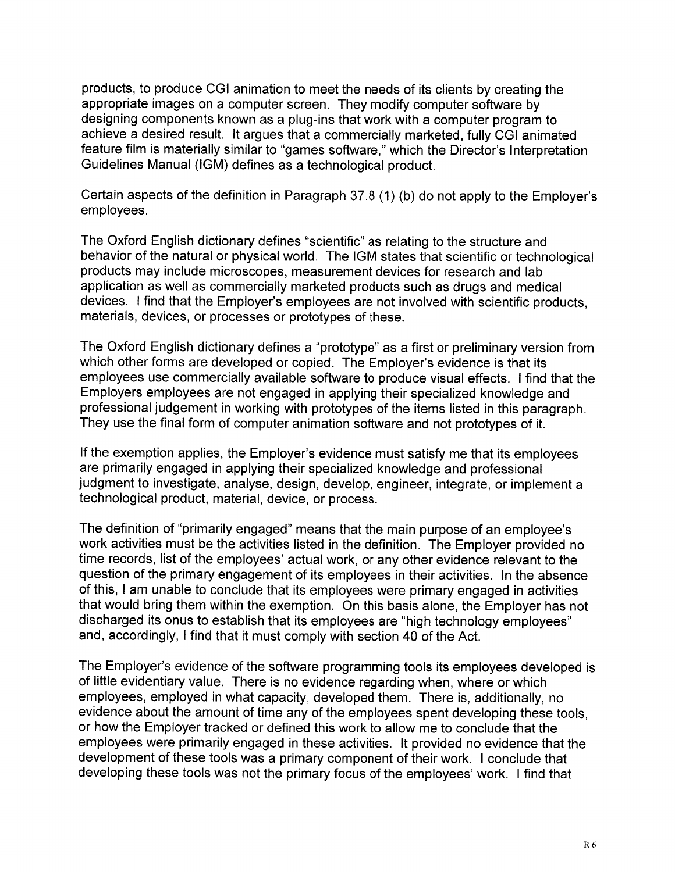products, to produce CGI animation to meet the needs of its clients by creating the appropriate images on a computer screen. They modify computer software by designing components known as a plug-ins that work with a computer program to achieve a desired result. lt argues that a commercially marketed, fully CGI animated feature film is materially similar to "games software," which the Director's Interpretation Guidelines Manual (lGM) defines as a technological product.

Certain aspects of the definition in Paragraph 37.8 (1) (b) do not apply to the Employer's employees.

The Oxford English dictionary defines "scientific" as relating to the structure and behavior of the natural or physical world. The IGM states that scientific or technological products may include microscopes, measurement devices for research and lab application as well as commercially marketed products such as drugs and medical devices. I find that the Employer's employees are not involved with scientific products, materials, devices, or processes or prototypes of these.

The Oxford English dictionary defines a "prototype" as a first or preliminary version from which other forms are developed or copied. The Employer's evidence is that its employees use commercially available software to produce visual effects. I find that the Employers employees are not engaged in applying their specialized knowledge and professional judgement in working with prototypes of the items listed in this paragraph. They use the final form of computer animation software and not prototypes of it.

If the exemption applies, the Employer's evidence must satisfy me that its employees are primarily engaged in applying their specialized knowledge and professional judgment to investigate, analyse, design, develop, engineer, integrate, or implement a technological product, material, device, or process.

The definition of "primarily engaged" means that the main purpose of an employee's work activities must be the activities listed in the definition. The Employer provided no time records, list of the employees' actual work, or any other evidence relevant to the question of the primary engagement of its employees in their activities. ln the absence of this, I am unable to conclude that its employees were primary engaged in activities that would bring them within the exemption. On this basis alone, the Employer has not discharged its onus to establish that its employees are "high technology employees" and, accordingly, I find that it must comply with section 40 of the Act.

The Employer's evidence of the software programming tools its employees developed is of little evidentiary value. There is no evidence regarding when, where or which employees, employed in what capacity, developed them. There is, additionally, no evidence about the amount of time any of the employees spent developing these tools, or how the Employer tracked or defined this work to allow me to conclude that the employees were primarily engaged in these activities. lt provided no evidence that the development of these tools was a primary component of their work. I conclude that developing these tools was not the primary focus of the employees' work. I find that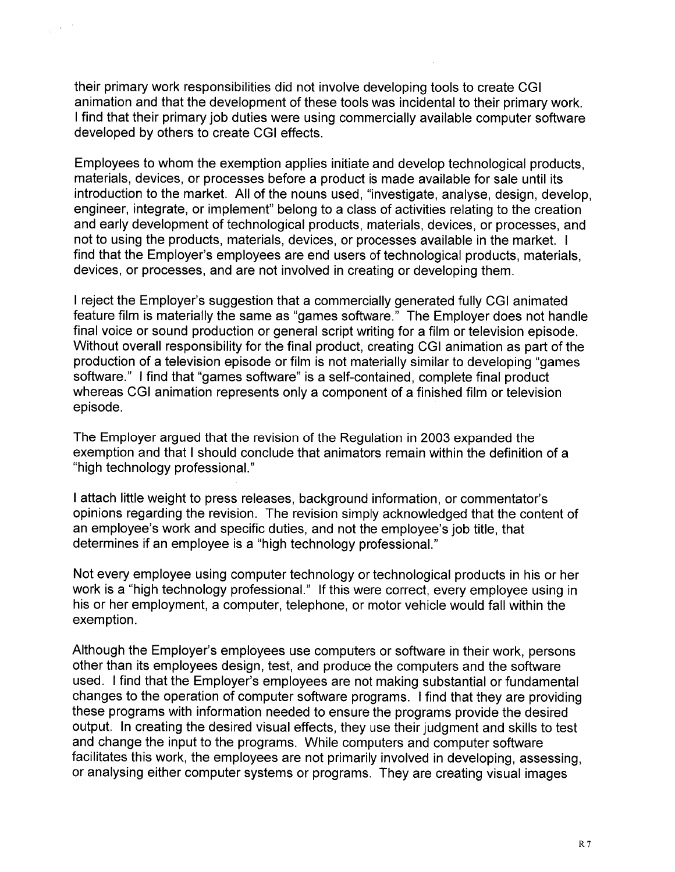their primary work responsibilities did not involve developing tools to create CGI animation and that the development of these tools was incidental to their primary work. I find that their primary job duties were using commercially available computer software developed by others to create CGI effects.

Employees to whom the exemption applies initiate and develop technological products, materials, devices, or processes before a product is made available for sale until its introduction to the market. All of the nouns used, "investigate, analyse, design, develop, engineer, integrate, or implement" belong to a class of activities relating to the creation and early development of technological products, materials, devices, or processes, and not to using the products, materials, devices, or processes available in the market. <sup>I</sup> find that the Employer's employees are end users of technological products, materials, devices, or processes, and are not involved in creating or developing them.

<sup>I</sup>reject the Employer's suggestion that a commercially generated fully CGI animated feature film is materially the same as "games software." The Employer does not handle final voice or sound production or general script writing for a film or television episode. Without overall responsibility for the final product, creating CGI animation as part of the production of a television episode or film is not materially similar to developing "games software." I find that "games software" is a self-contained, complete final product whereas CGI animation represents only a component of a finished film or television episode.

The Employer argued that the revision of the Regulation in 2003 expanded the exemption and that I should conclude that animators remain within the definition of a "high technology professional. "

<sup>I</sup>attach little weight to press releases, background information, or commentator's opinions regarding the revision. The revision simply acknowledged that the content of an employee's work and specific duties, and not the employee's job title, that determines if an employee is a "high technology professional."

Not every employee using computer technology or technological products in his or her work is a "high technology professional." lf this were correct, every employee using in his or her employment, a computer, telephone, or motor vehicle would fall within the exemption.

Although the Employer's employees use computers or software in their work, persons other than its employees design, test, and produce the computers and the software used. I find that the Employer's employees are not making substantial or fundamental changes to the operation of computer software programs. I find that they are providing these programs with information needed to ensure the programs provide the desired output. In creating the desired visual effects, they use their judgment and skills to test and change the input to the programs. While computers and computer software facilitates this work, the employees are not primarily involved in developing, assessing, or analysing either computer systems or programs. They are creating visual images